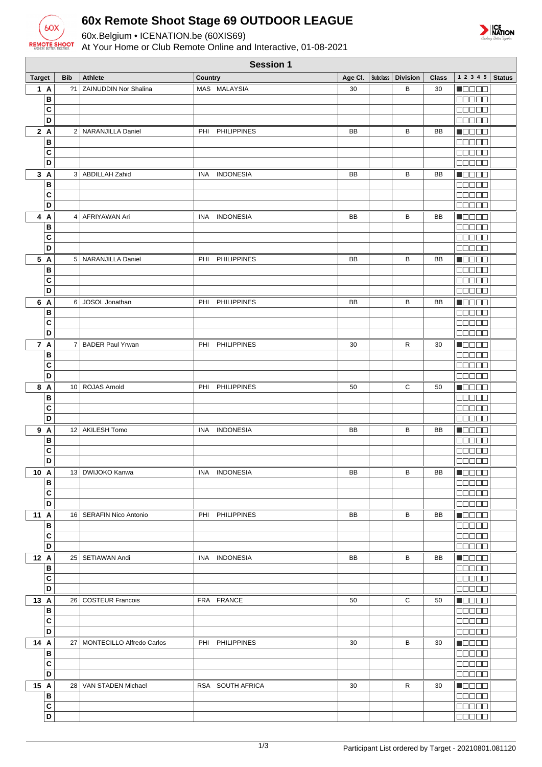

## **60x Remote Shoot Stage 69 OUTDOOR LEAGUE**

60x.Belgium • ICENATION.be (60XIS69)

At Your Home or Club Remote Online and Interactive, 01-08-2021



|               | <b>Session 1</b>        |            |                                |         |                    |    |  |                               |              |                              |               |
|---------------|-------------------------|------------|--------------------------------|---------|--------------------|----|--|-------------------------------|--------------|------------------------------|---------------|
| <b>Target</b> |                         | <b>Bib</b> | <b>Athlete</b>                 | Country |                    |    |  | Age Cl.   Subclass   Division | <b>Class</b> | $1\ 2\ 3\ 4\ 5$              | <b>Status</b> |
| 1A            |                         |            | ?1 ZAINUDDIN Nor Shalina       |         | MAS MALAYSIA       | 30 |  | В                             | 30           | <b>Magaa</b>                 |               |
|               | В                       |            |                                |         |                    |    |  |                               |              | <b>00000</b>                 |               |
|               | C                       |            |                                |         |                    |    |  |                               |              | <b>BBBBB</b>                 |               |
|               | D                       |            |                                |         |                    |    |  |                               |              | <b>BOOOC</b>                 |               |
| 2A            |                         |            | 2   NARANJILLA Daniel          | PHI     | <b>PHILIPPINES</b> | BB |  | В                             | BB           | Maaaa                        |               |
|               | B                       |            |                                |         |                    |    |  |                               |              | 00000                        |               |
|               | C                       |            |                                |         |                    |    |  |                               |              | 00000                        |               |
|               | D                       |            |                                |         |                    |    |  |                               |              | 00000                        |               |
| 3A            |                         |            | 3   ABDILLAH Zahid             | INA.    | <b>INDONESIA</b>   | BB |  | В                             | BB           | Maaaa                        |               |
|               | B                       |            |                                |         |                    |    |  |                               |              | 00000                        |               |
|               | C                       |            |                                |         |                    |    |  |                               |              | <b>ODDDD</b>                 |               |
|               | D                       |            |                                |         |                    |    |  |                               |              | 00000                        |               |
| 4 A           |                         |            | 4   AFRIYAWAN Ari              |         | INA INDONESIA      | BB |  | В                             | BB           | N O O O O                    |               |
|               | B                       |            |                                |         |                    |    |  |                               |              | <b>00000</b>                 |               |
|               | C<br>D                  |            |                                |         |                    |    |  |                               |              | 00000<br><b>BBBBB</b>        |               |
|               |                         |            |                                |         |                    |    |  |                               |              |                              |               |
| 5 A           | в                       |            | 5   NARANJILLA Daniel          | PHI     | <b>PHILIPPINES</b> | BB |  | В                             | BB           | N BE E E<br><b>00000</b>     |               |
|               | C                       |            |                                |         |                    |    |  |                               |              | <b>MODER</b>                 |               |
|               | D                       |            |                                |         |                    |    |  |                               |              | <b>BOBBB</b>                 |               |
| 6 A           |                         |            | 6 JOSOL Jonathan               |         | PHI PHILIPPINES    | BB |  | В                             | BB           | <b>MODOO</b>                 |               |
|               | в                       |            |                                |         |                    |    |  |                               |              | 00000                        |               |
|               | C                       |            |                                |         |                    |    |  |                               |              | <b>MODER</b>                 |               |
|               | $\overline{\mathsf{D}}$ |            |                                |         |                    |    |  |                               |              | <b>BBBBB</b>                 |               |
| 7 A           |                         |            | 7   BADER Paul Yrwan           | PHI     | <b>PHILIPPINES</b> | 30 |  | R                             | 30           | MOOO O                       |               |
|               | В                       |            |                                |         |                    |    |  |                               |              | 00000                        |               |
|               | C                       |            |                                |         |                    |    |  |                               |              | <b>ODDDD</b>                 |               |
|               | D                       |            |                                |         |                    |    |  |                               |              | 00000                        |               |
| 8 A           |                         |            | 10   ROJAS Arnold              | PHI     | <b>PHILIPPINES</b> | 50 |  | С                             | 50           | M S S S S                    |               |
|               | В                       |            |                                |         |                    |    |  |                               |              | 00000                        |               |
|               | C                       |            |                                |         |                    |    |  |                               |              | <b>NNO 00</b>                |               |
|               | D                       |            |                                |         |                    |    |  |                               |              | <b>ODDDD</b>                 |               |
| 9 A           |                         |            | 12 AKILESH Tomo                | INA.    | <b>INDONESIA</b>   | BB |  | В                             | BB           | NO DE O                      |               |
|               | B                       |            |                                |         |                    |    |  |                               |              | <b>00000</b>                 |               |
|               | C                       |            |                                |         |                    |    |  |                               |              | 00000                        |               |
|               | D                       |            |                                |         |                    |    |  |                               |              | <b>BOOOO</b>                 |               |
| 10 A          |                         |            | 13   DWIJOKO Kanwa             |         | INA INDONESIA      | BB |  | В                             | BB           | $\blacksquare$               |               |
|               | в                       |            |                                |         |                    |    |  |                               |              | <b>ODDER</b>                 |               |
|               | C                       |            |                                |         |                    |    |  |                               |              | 00000                        |               |
|               | D                       |            |                                |         |                    |    |  |                               |              | $\Box\Box\Box\Box\Box$       |               |
| 11 A          |                         |            | 16   SERAFIN Nico Antonio      |         | PHI PHILIPPINES    | BB |  | В                             | BB           | <b>Manae</b>                 |               |
|               | в<br>C                  |            |                                |         |                    |    |  |                               |              | 00000                        |               |
|               | D                       |            |                                |         |                    |    |  |                               |              | <b>00000</b><br><b>BBBBB</b> |               |
| 12 A          |                         |            | 25   SETIAWAN Andi             |         | INA INDONESIA      | BB |  | В                             | BB           | Maaaa                        |               |
|               | В                       |            |                                |         |                    |    |  |                               |              | 88888                        |               |
|               | C                       |            |                                |         |                    |    |  |                               |              | <b>BBBBB</b>                 |               |
|               | D                       |            |                                |         |                    |    |  |                               |              | <b>COOCO</b>                 |               |
| 13 A          |                         |            | 26   COSTEUR Francois          |         | FRA FRANCE         | 50 |  | C                             | 50           | Maaaa                        |               |
|               | $\, {\bf B}$            |            |                                |         |                    |    |  |                               |              | <b>BEBER</b>                 |               |
|               | C                       |            |                                |         |                    |    |  |                               |              | <b>DODDO</b>                 |               |
|               | D                       |            |                                |         |                    |    |  |                               |              | <b>BBBBB</b>                 |               |
| 14 A          |                         |            | 27   MONTECILLO Alfredo Carlos |         | PHI PHILIPPINES    | 30 |  | В                             | 30           | <b>HELED</b>                 |               |
|               | в                       |            |                                |         |                    |    |  |                               |              | <b>00000</b>                 |               |
|               | C                       |            |                                |         |                    |    |  |                               |              | <b>MODER</b>                 |               |
|               | D                       |            |                                |         |                    |    |  |                               |              | <b>00000</b>                 |               |
| 15 A          |                         |            | 28   VAN STADEN Michael        |         | RSA SOUTH AFRICA   | 30 |  | R                             | 30           | <b>ROBOO</b>                 |               |
|               | В                       |            |                                |         |                    |    |  |                               |              | 00000                        |               |
|               | С                       |            |                                |         |                    |    |  |                               |              | <b>00000</b>                 |               |
|               | D                       |            |                                |         |                    |    |  |                               |              | 00000                        |               |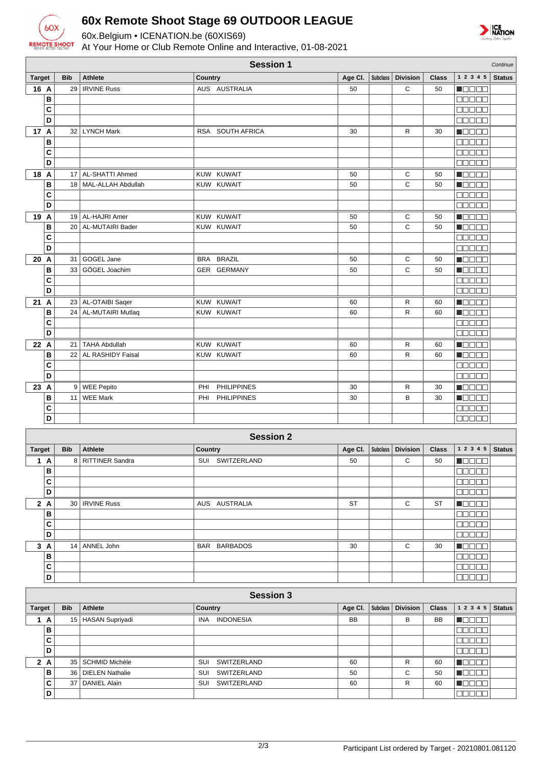

 $\frac{c}{\sigma}$ 

## **60x Remote Shoot Stage 69 OUTDOOR LEAGUE**

60x.Belgium • ICENATION.be (60XIS69)

At Your Home or Club Remote Online and Interactive, 01-08-2021

| <b>NATION</b> |
|---------------|
|               |

|                  |            |                         | <b>Session 1</b>          |         |                 |                 |              |                                              | Continue      |
|------------------|------------|-------------------------|---------------------------|---------|-----------------|-----------------|--------------|----------------------------------------------|---------------|
| <b>Target</b>    | <b>Bib</b> | <b>Athlete</b>          | <b>Country</b>            | Age CI. | <b>Subclass</b> | <b>Division</b> | <b>Class</b> | $1\ 2\ 3\ 4\ 5$                              | <b>Status</b> |
| 16 A             |            | 29   IRVINE Russ        | AUS AUSTRALIA             | 50      |                 | С               | 50           | <b>Macao</b>                                 |               |
| B                |            |                         |                           |         |                 |                 |              | 00000                                        |               |
| C                |            |                         |                           |         |                 |                 |              | 88888                                        |               |
| D                |            |                         |                           |         |                 |                 |              | ooooo                                        |               |
| 17 A             |            | 32   LYNCH Mark         | RSA SOUTH AFRICA          | 30      |                 | R               | 30           | Maaaa                                        |               |
| B                |            |                         |                           |         |                 |                 |              | 88888                                        |               |
| $\mathbf c$      |            |                         |                           |         |                 |                 |              | 00000                                        |               |
| D                |            |                         |                           |         |                 |                 |              | anana                                        |               |
| 18 A             |            | 17   AL-SHATTI Ahmed    | KUW KUWAIT                | 50      |                 | С               | 50           | <b>Macao</b>                                 |               |
| B                |            | 18   MAL-ALLAH Abdullah | KUW KUWAIT                | 50      |                 | C               | 50           | Maaaa                                        |               |
| C                |            |                         |                           |         |                 |                 |              | 88888                                        |               |
| D                |            |                         |                           |         |                 |                 |              | Maaan                                        |               |
| 19 A             |            | 19 AL-HAJRI Amer        | KUW KUWAIT                | 50      |                 | С               | 50           | Maaaa                                        |               |
| B                |            | 20   AL-MUTAIRI Bader   | KUW KUWAIT                | 50      |                 | C               | 50           | Manas                                        |               |
| C                |            |                         |                           |         |                 |                 |              | 88888                                        |               |
| D                |            |                         |                           |         |                 |                 |              | 00000                                        |               |
| 20 A             | 31         | GOGEL Jane              | BRA BRAZIL                | 50      |                 | С               | 50           | <b>N</b> OOOO                                |               |
| B                | 33         | GÖGEL Joachim           | GER GERMANY               | 50      |                 | C               | 50           | <b>Naca</b>                                  |               |
| C                |            |                         |                           |         |                 |                 |              | 88888                                        |               |
| D                |            |                         |                           |         |                 |                 |              | 00000                                        |               |
| 21A              |            | 23 AL-OTAIBI Saqer      | KUW KUWAIT                | 60      |                 | R               | 60           | $\blacksquare$                               |               |
| B                |            | 24 AL-MUTAIRI Mutlaq    | KUW KUWAIT                | 60      |                 | R               | 60           | Muaala                                       |               |
| C                |            |                         |                           |         |                 |                 |              | 88888                                        |               |
| D                |            |                         |                           |         |                 |                 |              | ooooo                                        |               |
| 22 A             |            | 21 TAHA Abdullah        | KUW KUWAIT                | 60      |                 | R               | 60           | N OO OO                                      |               |
| B                | 22         | AL RASHIDY Faisal       | KUW KUWAIT                | 60      |                 | $\mathsf{R}$    | 60           | <b>NOCOO</b>                                 |               |
| $\mathbf c$      |            |                         |                           |         |                 |                 |              | 00000                                        |               |
| D                |            |                         |                           |         |                 |                 |              | 88888                                        |               |
| 23 A             |            | 9 WEE Pepito            | <b>PHILIPPINES</b><br>PHI | 30      |                 | R               | 30           | Maaaa                                        |               |
| B                |            | 11 WEE Mark             | PHI PHILIPPINES           | 30      |                 | B               | 30           | Maaaa                                        |               |
| C                |            |                         |                           |         |                 |                 |              | 00000                                        |               |
| D                |            |                         |                           |         |                 |                 |              | 00000                                        |               |
|                  |            |                         | <b>Session 2</b>          |         |                 |                 |              |                                              |               |
| <b>Target</b>    | <b>Bib</b> | Athlete                 | Country                   | Age CI. | <b>Subclass</b> | <b>Division</b> | <b>Class</b> | 1 2 3 4 5                                    | <b>Status</b> |
| 1A               |            | 8 RITTINER Sandra       | SUI SWITZERLAND           | 50      |                 | С               | 50           | <b>HOOOO</b>                                 |               |
| B                |            |                         |                           |         |                 |                 |              | 00000                                        |               |
| C                |            |                         |                           |         |                 |                 |              | 00000                                        |               |
| D                |            |                         |                           |         |                 |                 |              | <b>00000</b>                                 |               |
| 2A               |            | 30   IRVINE Russ        | AUS AUSTRALIA             | ST      |                 | С               | ST           | $\blacksquare$ $\square$ $\square$ $\square$ |               |
| B                |            |                         |                           |         |                 |                 |              | 88888                                        |               |
| $\mathbf c$      |            |                         |                           |         |                 |                 |              | 00000                                        |               |
| D                |            |                         |                           |         |                 |                 |              | <b>00000</b>                                 |               |
| 3A               |            | 14 ANNEL John           | BAR BARBADOS              | 30      |                 | C               | 30           | Maaaa                                        |               |
| B                |            |                         |                           |         |                 |                 |              | 00000                                        |               |
| $\mathbf c$      |            |                         |                           |         |                 |                 |              | 00000                                        |               |
| D                |            |                         |                           |         |                 |                 |              | 88888                                        |               |
| <b>Session 3</b> |            |                         |                           |         |                 |                 |              |                                              |               |
| <b>Target</b>    | <b>Bib</b> | Athlete                 | Country                   | Age CI. | Subclass        | <b>Division</b> | <b>Class</b> | $1\ 2\ 3\ 4\ 5$                              | <b>Status</b> |
| 1A               |            | 15 HASAN Supriyadi      | INA INDONESIA             | BB      |                 | В               | BB           | <b>REGEL</b>                                 |               |
| B                |            |                         |                           |         |                 |                 |              | 88888                                        |               |
| C                |            |                         |                           |         |                 |                 |              | 88888                                        |               |
| D                |            |                         |                           |         |                 |                 |              | ooooo                                        |               |

**ROCCO**  $\blacksquare$ **MODES** 00000

**2 A** 35 SCHMID Michèle SUI SWITZERLAND 60 R 60 **B** 36 DIELEN Nathalie SUI SWITZERLAND 50 C 50 **CONTACT ALAIN SUI SWITZERLAND 60 R 60**